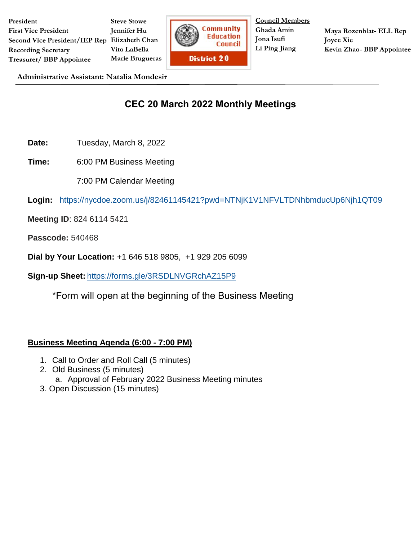**President First Vice President Second Vice President/IEP Rep Elizabeth Chan Recording Secretary Treasurer/ BBP Appointee Steve Stowe Jennifer Hu Vito LaBella Marie Brugueras**



**Council Members Ghada Amin Jona Isufi Li Ping Jiang**

**Maya Rozenblat- ELL Rep Joyce Xie Kevin Zhao- BBP Appointee**

**Administrative Assistant: Natalia Mondesir**

## **CEC 20 March 2022 Monthly Meetings**

- **Date:** Tuesday, March 8, 2022
- **Time:** 6:00 PM Business Meeting
	- 7:00 PM Calendar Meeting

**Login:** <https://nycdoe.zoom.us/j/82461145421?pwd=NTNjK1V1NFVLTDNhbmducUp6Njh1QT09>

- **Meeting ID**: 824 6114 5421
- **Passcode:** 540468
- **Dial by Your Location:** +1 646 518 9805, +1 929 205 6099
- **Sign-up Sheet:** <https://forms.gle/3RSDLNVGRchAZ15P9>
	- \*Form will open at the beginning of the Business Meeting

## **Business Meeting Agenda (6:00 - 7:00 PM)**

- 1. Call to Order and Roll Call (5 minutes)
- 2. Old Business (5 minutes) a. Approval of February 2022 Business Meeting minutes
- 3. Open Discussion (15 minutes)